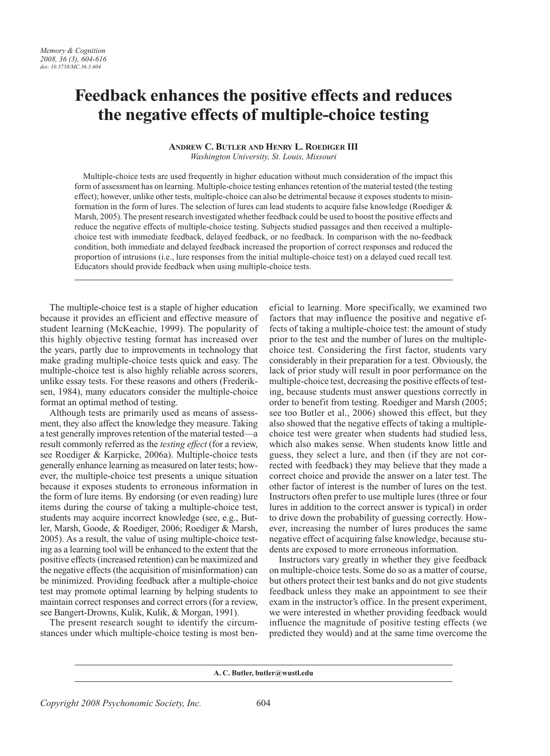# **Feedback enhances the positive effects and reduces the negative effects of multiple-choice testing**

# **Andrew C. Butler and Henry L. Roediger III**

*Washington University, St. Louis, Missouri*

Multiple-choice tests are used frequently in higher education without much consideration of the impact this form of assessment has on learning. Multiple-choice testing enhances retention of the material tested (the testing effect); however, unlike other tests, multiple-choice can also be detrimental because it exposes students to misinformation in the form of lures. The selection of lures can lead students to acquire false knowledge (Roediger & Marsh, 2005). The present research investigated whether feedback could be used to boost the positive effects and reduce the negative effects of multiple-choice testing. Subjects studied passages and then received a multiplechoice test with immediate feedback, delayed feedback, or no feedback. In comparison with the no-feedback condition, both immediate and delayed feedback increased the proportion of correct responses and reduced the proportion of intrusions (i.e., lure responses from the initial multiple-choice test) on a delayed cued recall test. Educators should provide feedback when using multiple-choice tests.

The multiple-choice test is a staple of higher education because it provides an efficient and effective measure of student learning (McKeachie, 1999). The popularity of this highly objective testing format has increased over the years, partly due to improvements in technology that make grading multiple-choice tests quick and easy. The multiple-choice test is also highly reliable across scorers, unlike essay tests. For these reasons and others (Frederiksen, 1984), many educators consider the multiple-choice format an optimal method of testing.

Although tests are primarily used as means of assessment, they also affect the knowledge they measure. Taking a test generally improves retention of the material tested—a result commonly referred as the *testing effect* (for a review, see Roediger & Karpicke, 2006a). Multiple-choice tests generally enhance learning as measured on later tests; however, the multiple-choice test presents a unique situation because it exposes students to erroneous information in the form of lure items. By endorsing (or even reading) lure items during the course of taking a multiple-choice test, students may acquire incorrect knowledge (see, e.g., Butler, Marsh, Goode, & Roediger, 2006; Roediger & Marsh, 2005). As a result, the value of using multiple-choice testing as a learning tool will be enhanced to the extent that the positive effects (increased retention) can be maximized and the negative effects (the acquisition of misinformation) can be minimized. Providing feedback after a multiple-choice test may promote optimal learning by helping students to maintain correct responses and correct errors (for a review, see Bangert-Drowns, Kulik, Kulik, & Morgan, 1991).

The present research sought to identify the circumstances under which multiple-choice testing is most beneficial to learning. More specifically, we examined two factors that may influence the positive and negative effects of taking a multiple-choice test: the amount of study prior to the test and the number of lures on the multiplechoice test. Considering the first factor, students vary considerably in their preparation for a test. Obviously, the lack of prior study will result in poor performance on the multiple-choice test, decreasing the positive effects of testing, because students must answer questions correctly in order to benefit from testing. Roediger and Marsh (2005; see too Butler et al., 2006) showed this effect, but they also showed that the negative effects of taking a multiplechoice test were greater when students had studied less, which also makes sense. When students know little and guess, they select a lure, and then (if they are not corrected with feedback) they may believe that they made a correct choice and provide the answer on a later test. The other factor of interest is the number of lures on the test. Instructors often prefer to use multiple lures (three or four lures in addition to the correct answer is typical) in order to drive down the probability of guessing correctly. However, increasing the number of lures produces the same negative effect of acquiring false knowledge, because students are exposed to more erroneous information.

Instructors vary greatly in whether they give feedback on multiple-choice tests. Some do so as a matter of course, but others protect their test banks and do not give students feedback unless they make an appointment to see their exam in the instructor's office. In the present experiment, we were interested in whether providing feedback would influence the magnitude of positive testing effects (we predicted they would) and at the same time overcome the

**A. C. Butler, butler@wustl.edu**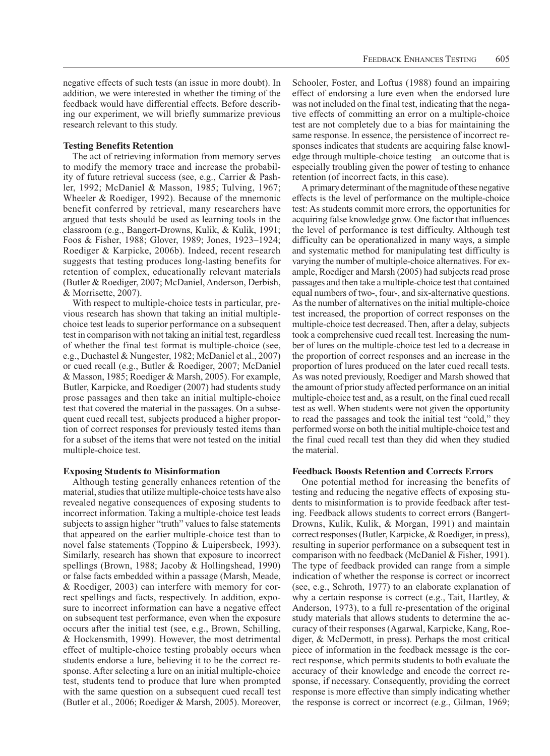# **Testing Benefits Retention**

The act of retrieving information from memory serves to modify the memory trace and increase the probability of future retrieval success (see, e.g., Carrier & Pashler, 1992; McDaniel & Masson, 1985; Tulving, 1967; Wheeler & Roediger, 1992). Because of the mnemonic benefit conferred by retrieval, many researchers have argued that tests should be used as learning tools in the classroom (e.g., Bangert-Drowns, Kulik, & Kulik, 1991; Foos & Fisher, 1988; Glover, 1989; Jones, 1923–1924; Roediger & Karpicke, 2006b). Indeed, recent research suggests that testing produces long-lasting benefits for retention of complex, educationally relevant materials (Butler & Roediger, 2007; McDaniel, Anderson, Derbish, & Morrisette, 2007).

With respect to multiple-choice tests in particular, previous research has shown that taking an initial multiplechoice test leads to superior performance on a subsequent test in comparison with not taking an initial test, regardless of whether the final test format is multiple-choice (see, e.g., Duchastel & Nungester, 1982; McDaniel et al., 2007) or cued recall (e.g., Butler & Roediger, 2007; McDaniel & Masson, 1985; Roediger & Marsh, 2005). For example, Butler, Karpicke, and Roediger (2007) had students study prose passages and then take an initial multiple-choice test that covered the material in the passages. On a subsequent cued recall test, subjects produced a higher proportion of correct responses for previously tested items than for a subset of the items that were not tested on the initial multiple-choice test.

# **Exposing Students to Misinformation**

Although testing generally enhances retention of the material, studies that utilize multiple-choice tests have also revealed negative consequences of exposing students to incorrect information. Taking a multiple-choice test leads subjects to assign higher "truth" values to false statements that appeared on the earlier multiple-choice test than to novel false statements (Toppino & Luipersbeck, 1993). Similarly, research has shown that exposure to incorrect spellings (Brown, 1988; Jacoby & Hollingshead, 1990) or false facts embedded within a passage (Marsh, Meade, & Roediger, 2003) can interfere with memory for correct spellings and facts, respectively. In addition, exposure to incorrect information can have a negative effect on subsequent test performance, even when the exposure occurs after the initial test (see, e.g., Brown, Schilling, & Hockensmith, 1999). However, the most detrimental effect of multiple-choice testing probably occurs when students endorse a lure, believing it to be the correct response. After selecting a lure on an initial multiple-choice test, students tend to produce that lure when prompted with the same question on a subsequent cued recall test (Butler et al., 2006; Roediger & Marsh, 2005). Moreover,

Schooler, Foster, and Loftus (1988) found an impairing effect of endorsing a lure even when the endorsed lure was not included on the final test, indicating that the negative effects of committing an error on a multiple-choice test are not completely due to a bias for maintaining the same response. In essence, the persistence of incorrect responses indicates that students are acquiring false knowledge through multiple-choice testing—an outcome that is especially troubling given the power of testing to enhance retention (of incorrect facts, in this case).

A primary determinant of the magnitude of these negative effects is the level of performance on the multiple-choice test: As students commit more errors, the opportunities for acquiring false knowledge grow. One factor that influences the level of performance is test difficulty. Although test difficulty can be operationalized in many ways, a simple and systematic method for manipulating test difficulty is varying the number of multiple-choice alternatives. For example, Roediger and Marsh (2005) had subjects read prose passages and then take a multiple-choice test that contained equal numbers of two-, four-, and six-alternative questions. As the number of alternatives on the initial multiple-choice test increased, the proportion of correct responses on the multiple-choice test decreased. Then, after a delay, subjects took a comprehensive cued recall test. Increasing the number of lures on the multiple-choice test led to a decrease in the proportion of correct responses and an increase in the proportion of lures produced on the later cued recall tests. As was noted previously, Roediger and Marsh showed that the amount of prior study affected performance on an initial multiple-choice test and, as a result, on the final cued recall test as well. When students were not given the opportunity to read the passages and took the initial test "cold," they performed worse on both the initial multiple-choice test and the final cued recall test than they did when they studied the material.

#### **Feedback Boosts Retention and Corrects Errors**

One potential method for increasing the benefits of testing and reducing the negative effects of exposing students to misinformation is to provide feedback after testing. Feedback allows students to correct errors (Bangert-Drowns, Kulik, Kulik, & Morgan, 1991) and maintain correct responses (Butler, Karpicke, & Roediger, in press), resulting in superior performance on a subsequent test in comparison with no feedback (McDaniel & Fisher, 1991). The type of feedback provided can range from a simple indication of whether the response is correct or incorrect (see, e.g., Schroth, 1977) to an elaborate explanation of why a certain response is correct (e.g., Tait, Hartley, & Anderson, 1973), to a full re-presentation of the original study materials that allows students to determine the accuracy of their responses (Agarwal, Karpicke, Kang, Roediger, & McDermott, in press). Perhaps the most critical piece of information in the feedback message is the correct response, which permits students to both evaluate the accuracy of their knowledge and encode the correct response, if necessary. Consequently, providing the correct response is more effective than simply indicating whether the response is correct or incorrect (e.g., Gilman, 1969;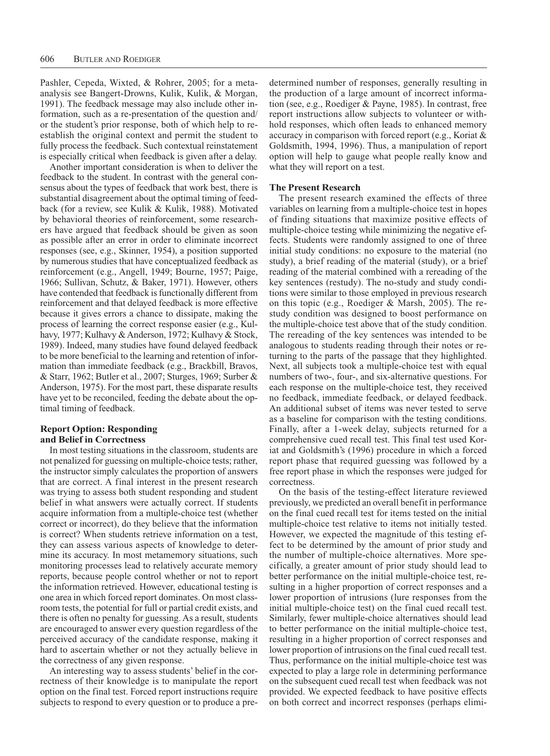Pashler, Cepeda, Wixted, & Rohrer, 2005; for a metaanalysis see Bangert-Drowns, Kulik, Kulik, & Morgan, 1991). The feedback message may also include other information, such as a re-presentation of the question and/ or the student's prior response, both of which help to reestablish the original context and permit the student to fully process the feedback. Such contextual reinstatement is especially critical when feedback is given after a delay.

Another important consideration is when to deliver the feedback to the student. In contrast with the general consensus about the types of feedback that work best, there is substantial disagreement about the optimal timing of feedback (for a review, see Kulik & Kulik, 1988). Motivated by behavioral theories of reinforcement, some researchers have argued that feedback should be given as soon as possible after an error in order to eliminate incorrect responses (see, e.g., Skinner, 1954), a position supported by numerous studies that have conceptualized feedback as reinforcement (e.g., Angell, 1949; Bourne, 1957; Paige, 1966; Sullivan, Schutz, & Baker, 1971). However, others have contended that feedback is functionally different from reinforcement and that delayed feedback is more effective because it gives errors a chance to dissipate, making the process of learning the correct response easier (e.g., Kulhavy, 1977; Kulhavy & Anderson, 1972; Kulhavy & Stock, 1989). Indeed, many studies have found delayed feedback to be more beneficial to the learning and retention of information than immediate feedback (e.g., Brackbill, Bravos, & Starr, 1962; Butler et al., 2007; Sturges, 1969; Surber & Anderson, 1975). For the most part, these disparate results have yet to be reconciled, feeding the debate about the optimal timing of feedback.

# **Report Option: Responding and Belief in Correctness**

In most testing situations in the classroom, students are not penalized for guessing on multiple-choice tests; rather, the instructor simply calculates the proportion of answers that are correct. A final interest in the present research was trying to assess both student responding and student belief in what answers were actually correct. If students acquire information from a multiple-choice test (whether correct or incorrect), do they believe that the information is correct? When students retrieve information on a test, they can assess various aspects of knowledge to determine its accuracy. In most metamemory situations, such monitoring processes lead to relatively accurate memory reports, because people control whether or not to report the information retrieved. However, educational testing is one area in which forced report dominates. On most classroom tests, the potential for full or partial credit exists, and there is often no penalty for guessing. As a result, students are encouraged to answer every question regardless of the perceived accuracy of the candidate response, making it hard to ascertain whether or not they actually believe in the correctness of any given response.

An interesting way to assess students' belief in the correctness of their knowledge is to manipulate the report option on the final test. Forced report instructions require subjects to respond to every question or to produce a predetermined number of responses, generally resulting in the production of a large amount of incorrect information (see, e.g., Roediger & Payne, 1985). In contrast, free report instructions allow subjects to volunteer or withhold responses, which often leads to enhanced memory accuracy in comparison with forced report (e.g., Koriat & Goldsmith, 1994, 1996). Thus, a manipulation of report option will help to gauge what people really know and what they will report on a test.

# **The Present Research**

The present research examined the effects of three variables on learning from a multiple-choice test in hopes of finding situations that maximize positive effects of multiple-choice testing while minimizing the negative effects. Students were randomly assigned to one of three initial study conditions: no exposure to the material (no study), a brief reading of the material (study), or a brief reading of the material combined with a rereading of the key sentences (restudy). The no-study and study conditions were similar to those employed in previous research on this topic (e.g., Roediger & Marsh, 2005). The restudy condition was designed to boost performance on the multiple-choice test above that of the study condition. The rereading of the key sentences was intended to be analogous to students reading through their notes or returning to the parts of the passage that they highlighted. Next, all subjects took a multiple-choice test with equal numbers of two-, four-, and six-alternative questions. For each response on the multiple-choice test, they received no feedback, immediate feedback, or delayed feedback. An additional subset of items was never tested to serve as a baseline for comparison with the testing conditions. Finally, after a 1-week delay, subjects returned for a comprehensive cued recall test. This final test used Koriat and Goldsmith's (1996) procedure in which a forced report phase that required guessing was followed by a free report phase in which the responses were judged for correctness.

On the basis of the testing-effect literature reviewed previously, we predicted an overall benefit in performance on the final cued recall test for items tested on the initial multiple-choice test relative to items not initially tested. However, we expected the magnitude of this testing effect to be determined by the amount of prior study and the number of multiple-choice alternatives. More specifically, a greater amount of prior study should lead to better performance on the initial multiple-choice test, resulting in a higher proportion of correct responses and a lower proportion of intrusions (lure responses from the initial multiple-choice test) on the final cued recall test. Similarly, fewer multiple-choice alternatives should lead to better performance on the initial multiple-choice test, resulting in a higher proportion of correct responses and lower proportion of intrusions on the final cued recall test. Thus, performance on the initial multiple-choice test was expected to play a large role in determining performance on the subsequent cued recall test when feedback was not provided. We expected feedback to have positive effects on both correct and incorrect responses (perhaps elimi-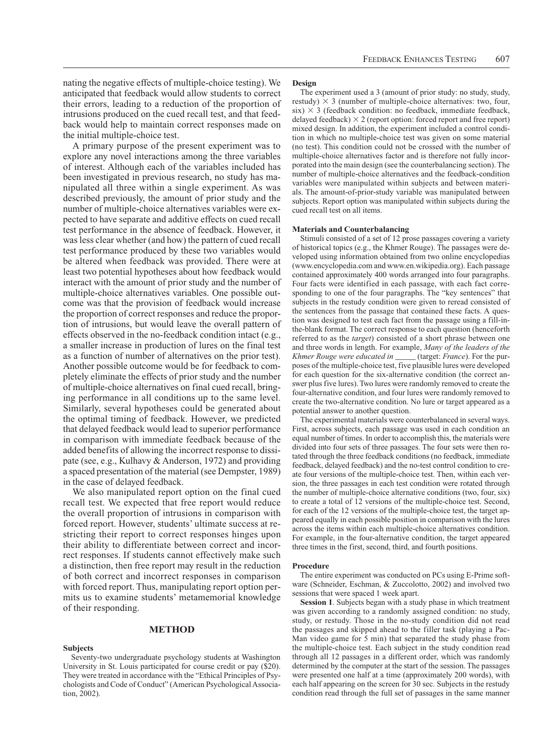nating the negative effects of multiple-choice testing). We anticipated that feedback would allow students to correct their errors, leading to a reduction of the proportion of intrusions produced on the cued recall test, and that feedback would help to maintain correct responses made on the initial multiple-choice test.

A primary purpose of the present experiment was to explore any novel interactions among the three variables of interest. Although each of the variables included has been investigated in previous research, no study has manipulated all three within a single experiment. As was described previously, the amount of prior study and the number of multiple-choice alternatives variables were expected to have separate and additive effects on cued recall test performance in the absence of feedback. However, it was less clear whether (and how) the pattern of cued recall test performance produced by these two variables would be altered when feedback was provided. There were at least two potential hypotheses about how feedback would interact with the amount of prior study and the number of multiple-choice alternatives variables. One possible outcome was that the provision of feedback would increase the proportion of correct responses and reduce the proportion of intrusions, but would leave the overall pattern of effects observed in the no-feedback condition intact (e.g., a smaller increase in production of lures on the final test as a function of number of alternatives on the prior test). Another possible outcome would be for feedback to completely eliminate the effects of prior study and the number of multiple-choice alternatives on final cued recall, bringing performance in all conditions up to the same level. Similarly, several hypotheses could be generated about the optimal timing of feedback. However, we predicted that delayed feedback would lead to superior performance in comparison with immediate feedback because of the added benefits of allowing the incorrect response to dissipate (see, e.g., Kulhavy & Anderson, 1972) and providing a spaced presentation of the material (see Dempster, 1989) in the case of delayed feedback.

We also manipulated report option on the final cued recall test. We expected that free report would reduce the overall proportion of intrusions in comparison with forced report. However, students' ultimate success at restricting their report to correct responses hinges upon their ability to differentiate between correct and incorrect responses. If students cannot effectively make such a distinction, then free report may result in the reduction of both correct and incorrect responses in comparison with forced report. Thus, manipulating report option permits us to examine students' metamemorial knowledge of their responding.

# **Method**

#### **Subjects**

Seventy-two undergraduate psychology students at Washington University in St. Louis participated for course credit or pay (\$20). They were treated in accordance with the "Ethical Principles of Psychologists and Code of Conduct" (American Psychological Association, 2002).

#### **Design**

The experiment used a 3 (amount of prior study: no study, study, restudy)  $\times$  3 (number of multiple-choice alternatives: two, four,  $six) \times 3$  (feedback condition: no feedback, immediate feedback, delayed feedback)  $\times$  2 (report option: forced report and free report) mixed design. In addition, the experiment included a control condition in which no multiple-choice test was given on some material (no test). This condition could not be crossed with the number of multiple-choice alternatives factor and is therefore not fully incorporated into the main design (see the counterbalancing section). The number of multiple-choice alternatives and the feedback-condition variables were manipulated within subjects and between materials. The amount-of-prior-study variable was manipulated between subjects. Report option was manipulated within subjects during the cued recall test on all items.

#### **Materials and Counterbalancing**

Stimuli consisted of a set of 12 prose passages covering a variety of historical topics (e.g., the Khmer Rouge). The passages were developed using information obtained from two online encyclopedias (www.encyclopedia.com and www.en.wikipedia.org). Each passage contained approximately 400 words arranged into four paragraphs. Four facts were identified in each passage, with each fact corresponding to one of the four paragraphs. The "key sentences" that subjects in the restudy condition were given to reread consisted of the sentences from the passage that contained these facts. A question was designed to test each fact from the passage using a fill-inthe-blank format. The correct response to each question (henceforth referred to as the *target*) consisted of a short phrase between one and three words in length. For example, *Many of the leaders of the Khmer Rouge were educated in* poses of the multiple-choice test, five plausible lures were developed for each question for the six-alternative condition (the correct answer plus five lures). Two lures were randomly removed to create the four-alternative condition, and four lures were randomly removed to create the two-alternative condition. No lure or target appeared as a potential answer to another question.

The experimental materials were counterbalanced in several ways. First, across subjects, each passage was used in each condition an equal number of times. In order to accomplish this, the materials were divided into four sets of three passages. The four sets were then rotated through the three feedback conditions (no feedback, immediate feedback, delayed feedback) and the no-test control condition to create four versions of the multiple-choice test. Then, within each version, the three passages in each test condition were rotated through the number of multiple-choice alternative conditions (two, four, six) to create a total of 12 versions of the multiple-choice test. Second, for each of the 12 versions of the multiple-choice test, the target appeared equally in each possible position in comparison with the lures across the items within each multiple-choice alternatives condition. For example, in the four-alternative condition, the target appeared three times in the first, second, third, and fourth positions.

#### **Procedure**

The entire experiment was conducted on PCs using E-Prime software (Schneider, Eschman, & Zuccolotto, 2002) and involved two sessions that were spaced 1 week apart.

**Session 1**. Subjects began with a study phase in which treatment was given according to a randomly assigned condition: no study, study, or restudy. Those in the no-study condition did not read the passages and skipped ahead to the filler task (playing a Pac-Man video game for 5 min) that separated the study phase from the multiple-choice test. Each subject in the study condition read through all 12 passages in a different order, which was randomly determined by the computer at the start of the session. The passages were presented one half at a time (approximately 200 words), with each half appearing on the screen for 30 sec. Subjects in the restudy condition read through the full set of passages in the same manner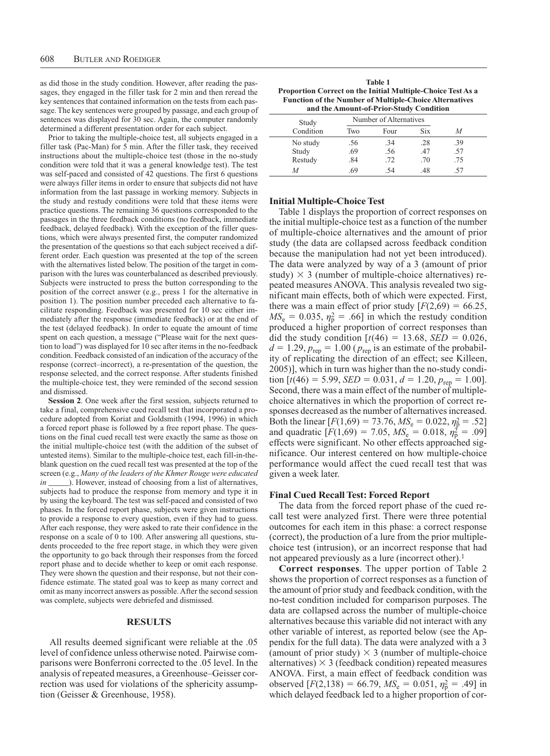as did those in the study condition. However, after reading the passages, they engaged in the filler task for 2 min and then reread the key sentences that contained information on the tests from each passage. The key sentences were grouped by passage, and each group of sentences was displayed for 30 sec. Again, the computer randomly determined a different presentation order for each subject.

Prior to taking the multiple-choice test, all subjects engaged in a filler task (Pac-Man) for 5 min. After the filler task, they received instructions about the multiple-choice test (those in the no-study condition were told that it was a general knowledge test). The test was self-paced and consisted of 42 questions. The first 6 questions were always filler items in order to ensure that subjects did not have information from the last passage in working memory. Subjects in the study and restudy conditions were told that these items were practice questions. The remaining 36 questions corresponded to the passages in the three feedback conditions (no feedback, immediate feedback, delayed feedback). With the exception of the filler questions, which were always presented first, the computer randomized the presentation of the questions so that each subject received a different order. Each question was presented at the top of the screen with the alternatives listed below. The position of the target in comparison with the lures was counterbalanced as described previously. Subjects were instructed to press the button corresponding to the position of the correct answer (e.g., press 1 for the alternative in position 1). The position number preceded each alternative to facilitate responding. Feedback was presented for 10 sec either immediately after the response (immediate feedback) or at the end of the test (delayed feedback). In order to equate the amount of time spent on each question, a message ("Please wait for the next question to load") was displayed for 10 sec after items in the no-feedback condition. Feedback consisted of an indication of the accuracy of the response (correct–incorrect), a re-presentation of the question, the response selected, and the correct response. After students finished the multiple-choice test, they were reminded of the second session and dismissed.

**Session 2**. One week after the first session, subjects returned to take a final, comprehensive cued recall test that incorporated a procedure adopted from Koriat and Goldsmith (1994, 1996) in which a forced report phase is followed by a free report phase. The questions on the final cued recall test were exactly the same as those on the initial multiple-choice test (with the addition of the subset of untested items). Similar to the multiple-choice test, each fill-in-theblank question on the cued recall test was presented at the top of the screen (e.g., *Many of the leaders of the Khmer Rouge were educated in \_\_\_\_\_*). However, instead of choosing from a list of alternatives, subjects had to produce the response from memory and type it in by using the keyboard. The test was self-paced and consisted of two phases. In the forced report phase, subjects were given instructions to provide a response to every question, even if they had to guess. After each response, they were asked to rate their confidence in the response on a scale of 0 to 100. After answering all questions, students proceeded to the free report stage, in which they were given the opportunity to go back through their responses from the forced report phase and to decide whether to keep or omit each response. They were shown the question and their response, but not their confidence estimate. The stated goal was to keep as many correct and omit as many incorrect answers as possible. After the second session was complete, subjects were debriefed and dismissed.

#### **Results**

All results deemed significant were reliable at the .05 level of confidence unless otherwise noted. Pairwise comparisons were Bonferroni corrected to the .05 level. In the analysis of repeated measures, a Greenhouse–Geisser correction was used for violations of the sphericity assumption (Geisser & Greenhouse, 1958).

| Proportion Correct on the Initial Multiple-Choice Test As a<br><b>Function of the Number of Multiple-Choice Alternatives</b> |     | <b>Table 1</b><br>and the Amount-of-Prior-Study Condition |     |   |
|------------------------------------------------------------------------------------------------------------------------------|-----|-----------------------------------------------------------|-----|---|
| Study                                                                                                                        |     | Number of Alternatives                                    |     |   |
| Condition                                                                                                                    | Two | Four                                                      | Six | М |

| <u>v</u> uu y |     |      |     |     |  |  |
|---------------|-----|------|-----|-----|--|--|
| Condition     | Two | Four | Six | М   |  |  |
| No study      | .56 | .34  | .28 | .39 |  |  |
| Study         | .69 | .56  | .47 | .57 |  |  |
| Restudy       | .84 | .72  | .70 | .75 |  |  |
| М             | .69 | .54  | .48 | .57 |  |  |
|               |     |      |     |     |  |  |

#### **Initial Multiple-Choice Test**

Table 1 displays the proportion of correct responses on the initial multiple-choice test as a function of the number of multiple-choice alternatives and the amount of prior study (the data are collapsed across feedback condition because the manipulation had not yet been introduced). The data were analyzed by way of a 3 (amount of prior study)  $\times$  3 (number of multiple-choice alternatives) repeated measures ANOVA. This analysis revealed two significant main effects, both of which were expected. First, there was a main effect of prior study  $[F(2,69) = 66.25]$ ,  $MS_e = 0.035$ ,  $\eta_p^2 = .66$ ] in which the restudy condition produced a higher proportion of correct responses than did the study condition  $[t(46) = 13.68, SED = 0.026,$  $d = 1.29, p_{\text{rep}} = 1.00 (p_{\text{rep}})$  is an estimate of the probability of replicating the direction of an effect; see Killeen, 2005)], which in turn was higher than the no-study condition  $[t(46) = 5.99, SED = 0.031, d = 1.20, p_{rep} = 1.00]$ . Second, there was a main effect of the number of multiplechoice alternatives in which the proportion of correct responses decreased as the number of alternatives increased. Both the linear  $[F(1,69) = 73.76, MS_e = 0.022, \eta_p^2 = .52]$ and quadratic  $[F(1,69) = 7.05, M S<sub>e</sub> = 0.018, \eta_{p}^{2} = .09]$ effects were significant. No other effects approached significance. Our interest centered on how multiple-choice performance would affect the cued recall test that was given a week later.

#### **Final Cued Recall Test: Forced Report**

The data from the forced report phase of the cued recall test were analyzed first. There were three potential outcomes for each item in this phase: a correct response (correct), the production of a lure from the prior multiplechoice test (intrusion), or an incorrect response that had not appeared previously as a lure (incorrect other).<sup>1</sup>

**Correct responses**. The upper portion of Table 2 shows the proportion of correct responses as a function of the amount of prior study and feedback condition, with the no-test condition included for comparison purposes. The data are collapsed across the number of multiple-choice alternatives because this variable did not interact with any other variable of interest, as reported below (see the Appendix for the full data). The data were analyzed with a 3 (amount of prior study)  $\times$  3 (number of multiple-choice alternatives)  $\times$  3 (feedback condition) repeated measures ANOVA. First, a main effect of feedback condition was observed  $[F(2,138) = 66.79, MS_e = 0.051, \eta_p^2 = .49]$  in which delayed feedback led to a higher proportion of cor-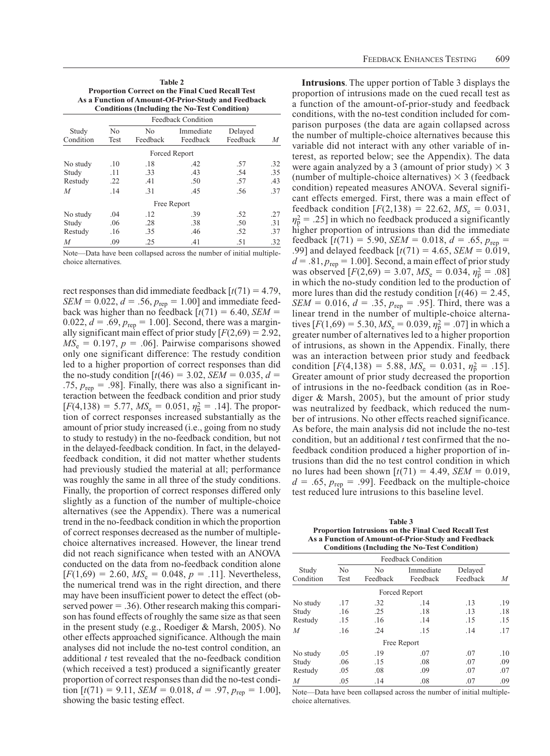|                    |            |                | <b>Table 2</b><br><b>Proportion Correct on the Final Cued Recall Test</b><br>As a Function of Amount-Of-Prior-Study and Feedback<br><b>Conditions (Including the No-Test Condition)</b> |                     |     |
|--------------------|------------|----------------|-----------------------------------------------------------------------------------------------------------------------------------------------------------------------------------------|---------------------|-----|
|                    |            |                | <b>Feedback Condition</b>                                                                                                                                                               |                     |     |
| Study<br>Condition | No<br>Test | No<br>Feedback | Immediate<br>Feedback                                                                                                                                                                   | Delayed<br>Feedback | M   |
|                    |            |                | Forced Report                                                                                                                                                                           |                     |     |
| No study           | .10        | .18            | .42                                                                                                                                                                                     | .57                 | .32 |
| Study              | .11        | .33            | .43                                                                                                                                                                                     | .54                 | .35 |
| Restudy            | .22        | .41            | .50                                                                                                                                                                                     | .57                 | .43 |
| M                  | .14        | .31            | .45                                                                                                                                                                                     | .56                 | .37 |
|                    |            |                | Free Report                                                                                                                                                                             |                     |     |
| No study           | .04        | .12            | .39                                                                                                                                                                                     | .52                 | .27 |
| Study              | .06        | .28            | .38                                                                                                                                                                                     | .50                 | .31 |
| Restudy            | .16        | .35            | .46                                                                                                                                                                                     | .52                 | .37 |
| M                  | .09        | .25            | .41                                                                                                                                                                                     | .51                 | .32 |

Note—Data have been collapsed across the number of initial multiplechoice alternatives.

rect responses than did immediate feedback  $[t(71) = 4.79]$ , *SEM* = 0.022,  $d = .56$ ,  $p_{rep} = 1.00$ ] and immediate feedback was higher than no feedback  $[t(71) = 6.40, SEM =$ 0.022,  $d = .69$ ,  $p_{\text{rep}} = 1.00$ ]. Second, there was a marginally significant main effect of prior study  $[F(2,69) = 2.92,$  $MS_e = 0.197$ ,  $p = .06$ ]. Pairwise comparisons showed only one significant difference: The restudy condition led to a higher proportion of correct responses than did the no-study condition  $[t(46) = 3.02, SEM = 0.035, d =$ .75,  $p_{\text{rep}} = .98$ ]. Finally, there was also a significant interaction between the feedback condition and prior study  $[F(4, 138) = 5.77, M S<sub>e</sub> = 0.051, \eta<sub>p</sub><sup>2</sup> = .14]$ . The proportion of correct responses increased substantially as the amount of prior study increased (i.e., going from no study to study to restudy) in the no-feedback condition, but not in the delayed-feedback condition. In fact, in the delayedfeedback condition, it did not matter whether students had previously studied the material at all; performance was roughly the same in all three of the study conditions. Finally, the proportion of correct responses differed only slightly as a function of the number of multiple-choice alternatives (see the Appendix). There was a numerical trend in the no-feedback condition in which the proportion of correct responses decreased as the number of multiplechoice alternatives increased. However, the linear trend did not reach significance when tested with an ANOVA conducted on the data from no-feedback condition alone  $[F(1,69) = 2.60, MS_e = 0.048, p = .11]$ . Nevertheless, the numerical trend was in the right direction, and there may have been insufficient power to detect the effect (observed power  $= .36$ ). Other research making this comparison has found effects of roughly the same size as that seen in the present study (e.g., Roediger & Marsh, 2005). No other effects approached significance. Although the main analyses did not include the no-test control condition, an additional *t* test revealed that the no-feedback condition (which received a test) produced a significantly greater proportion of correct responses than did the no-test condition  $[t(71) = 9.11, SEM = 0.018, d = .97, p_{rep} = 1.00]$ , showing the basic testing effect.

**Intrusions**. The upper portion of Table 3 displays the proportion of intrusions made on the cued recall test as a function of the amount-of-prior-study and feedback conditions, with the no-test condition included for comparison purposes (the data are again collapsed across the number of multiple-choice alternatives because this variable did not interact with any other variable of interest, as reported below; see the Appendix). The data were again analyzed by a 3 (amount of prior study)  $\times$  3 (number of multiple-choice alternatives)  $\times$  3 (feedback condition) repeated measures ANOVA. Several significant effects emerged. First, there was a main effect of feedback condition  $[F(2,138) = 22.62, MS_e = 0.031,$  $\eta_p^2 = .25$ ] in which no feedback produced a significantly higher proportion of intrusions than did the immediate feedback  $[t(71) = 5.90, SEM = 0.018, d = .65, p_{rep} =$ .99] and delayed feedback  $[t(71) = 4.65, SEM = 0.019,$  $d = .81, p_{\text{rep}} = 1.00$ . Second, a main effect of prior study was observed  $[F(2,69) = 3.07, MS_e = 0.034, \eta_p^2 = .08]$ in which the no-study condition led to the production of more lures than did the restudy condition  $[t(46) = 2.45]$ , *SEM* = 0.016,  $d = .35$ ,  $p_{rep} = .95$ ]. Third, there was a linear trend in the number of multiple-choice alternatives  $[F(1,69) = 5.30, MS_e = 0.039, \eta_p^2 = .07]$  in which a greater number of alternatives led to a higher proportion of intrusions, as shown in the Appendix. Finally, there was an interaction between prior study and feedback condition  $[F(4,138) = 5.88, MS_e = 0.031, \eta_p^2 = .15]$ . Greater amount of prior study decreased the proportion of intrusions in the no-feedback condition (as in Roediger & Marsh, 2005), but the amount of prior study was neutralized by feedback, which reduced the number of intrusions. No other effects reached significance. As before, the main analysis did not include the no-test condition, but an additional *t* test confirmed that the nofeedback condition produced a higher proportion of intrusions than did the no test control condition in which no lures had been shown  $[t(71) = 4.49, SEM = 0.019,$  $d = .65$ ,  $p_{\text{rep}} = .99$ ]. Feedback on the multiple-choice test reduced lure intrusions to this baseline level.

**Table 3 Proportion Intrusions on the Final Cued Recall Test As a Function of Amount-of-Prior-Study and Feedback Conditions (Including the No-Test Condition)**

|                    | o<br><b>Feedback Condition</b>           |     |                       |                     |     |  |
|--------------------|------------------------------------------|-----|-----------------------|---------------------|-----|--|
| Study<br>Condition | N <sub>0</sub><br>No<br>Feedback<br>Test |     | Immediate<br>Feedback | Delayed<br>Feedback | M   |  |
|                    |                                          |     | Forced Report         |                     |     |  |
| No study           | .17                                      | .32 | .14                   | .13                 | .19 |  |
| Study              | .16                                      | .25 | .18                   | .13                 | .18 |  |
| Restudy            | .15                                      | .16 | .14                   | .15                 | .15 |  |
| $\overline{M}$     | .16                                      | .24 | .15                   | .14                 |     |  |
|                    |                                          |     | Free Report           |                     |     |  |
| No study           | .05                                      | .19 | .07                   | .07                 | .10 |  |
| Study              | .06                                      | .15 | .08                   | .07                 | .09 |  |
| Restudy            | .05                                      | .08 | .09                   | .07                 | .07 |  |
| M                  | .05                                      | .14 | .08                   | .07                 | .09 |  |

Note—Data have been collapsed across the number of initial multiplechoice alternatives.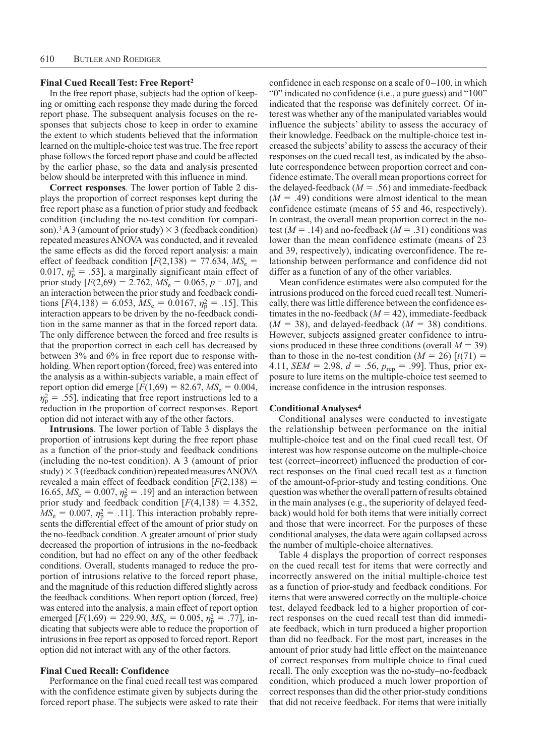# **Final Cued Recall Test: Free Report2**

In the free report phase, subjects had the option of keeping or omitting each response they made during the forced report phase. The subsequent analysis focuses on the responses that subjects chose to keep in order to examine the extent to which students believed that the information learned on the multiple-choice test was true. The free report phase follows the forced report phase and could be affected by the earlier phase, so the data and analysis presented below should be interpreted with this influence in mind.

**Correct responses**. The lower portion of Table 2 displays the proportion of correct responses kept during the free report phase as a function of prior study and feedback condition (including the no-test condition for comparison).<sup>3</sup> A 3 (amount of prior study)  $\times$  3 (feedback condition) repeated measures ANOVA was conducted, and it revealed the same effects as did the forced report analysis: a main effect of feedback condition  $[F(2,138) = 77.634, MS<sub>e</sub> =$ 0.017,  $\eta_p^2 = .53$ ], a marginally significant main effect of prior study  $[F(2,69) = 2.762, MS_e = 0.065, p = .07]$ , and an interaction between the prior study and feedback conditions  $[F(4,138) = 6.053, MS<sub>e</sub> = 0.0167, \eta<sub>p</sub><sup>2</sup> = .15]$ . This interaction appears to be driven by the no-feedback condition in the same manner as that in the forced report data. The only difference between the forced and free results is that the proportion correct in each cell has decreased by between 3% and 6% in free report due to response withholding. When report option (forced, free) was entered into the analysis as a within-subjects variable, a main effect of report option did emerge  $[F(1,69) = 82.67, MS_e = 0.004,$  $\eta_p^2 = .55$ ], indicating that free report instructions led to a reduction in the proportion of correct responses. Report option did not interact with any of the other factors.

**Intrusions**. The lower portion of Table 3 displays the proportion of intrusions kept during the free report phase as a function of the prior-study and feedback conditions (including the no-test condition). A 3 (amount of prior study)  $\times$  3 (feedback condition) repeated measures ANOVA revealed a main effect of feedback condition  $[F(2,138) =$ 16.65,  $MS_e = 0.007$ ,  $\eta_p^2 = .19$ ] and an interaction between prior study and feedback condition  $[F(4,138) = 4.352]$ ,  $MS_e = 0.007$ ,  $\eta_p^2 = .11$ ]. This interaction probably represents the differential effect of the amount of prior study on the no-feedback condition. A greater amount of prior study decreased the proportion of intrusions in the no-feedback condition, but had no effect on any of the other feedback conditions. Overall, students managed to reduce the proportion of intrusions relative to the forced report phase, and the magnitude of this reduction differed slightly across the feedback conditions. When report option (forced, free) was entered into the analysis, a main effect of report option emerged  $[F(1,69) = 229.90, MS_e = 0.005, \eta_p^2 = .77]$ , indicating that subjects were able to reduce the proportion of intrusions in free report as opposed to forced report. Report option did not interact with any of the other factors.

# **Final Cued Recall: Confidence**

Performance on the final cued recall test was compared with the confidence estimate given by subjects during the forced report phase. The subjects were asked to rate their confidence in each response on a scale of 0–100, in which "0" indicated no confidence (i.e., a pure guess) and "100" indicated that the response was definitely correct. Of interest was whether any of the manipulated variables would influence the subjects' ability to assess the accuracy of their knowledge. Feedback on the multiple-choice test increased the subjects' ability to assess the accuracy of their responses on the cued recall test, as indicated by the absolute correspondence between proportion correct and confidence estimate. The overall mean proportions correct for the delayed-feedback  $(M = .56)$  and immediate-feedback  $(M = .49)$  conditions were almost identical to the mean confidence estimate (means of 55 and 46, respectively). In contrast, the overall mean proportion correct in the notest ( $M = .14$ ) and no-feedback ( $M = .31$ ) conditions was lower than the mean confidence estimate (means of 23 and 39, respectively), indicating overconfidence. The relationship between performance and confidence did not differ as a function of any of the other variables.

Mean confidence estimates were also computed for the intrusions produced on the forced cued recall test. Numerically, there was little difference between the confidence estimates in the no-feedback  $(M = 42)$ , immediate-feedback  $(M = 38)$ , and delayed-feedback  $(M = 38)$  conditions. However, subjects assigned greater confidence to intrusions produced in these three conditions (overall  $M = 39$ ) than to those in the no-test condition  $(M = 26)$   $[t(71) =$ 4.11, *SEM* = 2.98,  $d = .56$ ,  $p_{rep} = .99$ ]. Thus, prior exposure to lure items on the multiple-choice test seemed to increase confidence in the intrusion responses.

### **Conditional Analyses4**

Conditional analyses were conducted to investigate the relationship between performance on the initial multiple-choice test and on the final cued recall test. Of interest was how response outcome on the multiple-choice test (correct–incorrect) influenced the production of correct responses on the final cued recall test as a function of the amount-of-prior-study and testing conditions. One question was whether the overall pattern of results obtained in the main analyses (e.g., the superiority of delayed feedback) would hold for both items that were initially correct and those that were incorrect. For the purposes of these conditional analyses, the data were again collapsed across the number of multiple-choice alternatives.

Table 4 displays the proportion of correct responses on the cued recall test for items that were correctly and incorrectly answered on the initial multiple-choice test as a function of prior-study and feedback conditions. For items that were answered correctly on the multiple-choice test, delayed feedback led to a higher proportion of correct responses on the cued recall test than did immediate feedback, which in turn produced a higher proportion than did no feedback. For the most part, increases in the amount of prior study had little effect on the maintenance of correct responses from multiple choice to final cued recall. The only exception was the no-study–no-feedback condition, which produced a much lower proportion of correct responses than did the other prior-study conditions that did not receive feedback. For items that were initially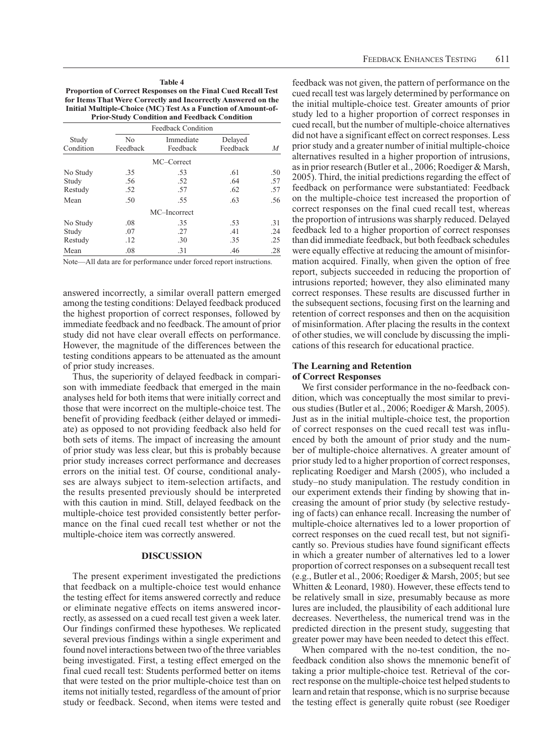#### **Table 4**

**Proportion of Correct Responses on the Final Cued Recall Test for Items That Were Correctly and Incorrectly Answered on the Initial Multiple-Choice (MC) Test As a Function of Amount-of-Prior-Study Condition and Feedback Condition**

|                                                  |     | <b>Feedback Condition</b> | M   |                     |
|--------------------------------------------------|-----|---------------------------|-----|---------------------|
| N <sub>0</sub><br>Study<br>Condition<br>Feedback |     | Immediate<br>Feedback     |     | Delayed<br>Feedback |
|                                                  |     | MC-Correct                |     |                     |
| No Study                                         | .35 | .53                       | .61 | .50                 |
| Study                                            | .56 | .52                       | .64 | .57                 |
| Restudy                                          | .52 | .57                       | .62 | .57                 |
| Mean                                             | .50 | .55                       | .63 | .56                 |
|                                                  |     | MC-Incorrect              |     |                     |
| No Study                                         | .08 | .35                       | .53 | .31                 |
| Study                                            | .07 | .27                       | .41 | .24                 |
| Restudy                                          | .12 | .30                       | .35 | .25                 |
| Mean                                             | .08 | .31                       | .46 | .28                 |

Note—All data are for performance under forced report instructions.

answered incorrectly, a similar overall pattern emerged among the testing conditions: Delayed feedback produced the highest proportion of correct responses, followed by immediate feedback and no feedback. The amount of prior study did not have clear overall effects on performance. However, the magnitude of the differences between the testing conditions appears to be attenuated as the amount of prior study increases.

Thus, the superiority of delayed feedback in comparison with immediate feedback that emerged in the main analyses held for both items that were initially correct and those that were incorrect on the multiple-choice test. The benefit of providing feedback (either delayed or immediate) as opposed to not providing feedback also held for both sets of items. The impact of increasing the amount of prior study was less clear, but this is probably because prior study increases correct performance and decreases errors on the initial test. Of course, conditional analyses are always subject to item-selection artifacts, and the results presented previously should be interpreted with this caution in mind. Still, delayed feedback on the multiple-choice test provided consistently better performance on the final cued recall test whether or not the multiple-choice item was correctly answered.

#### **Discussion**

The present experiment investigated the predictions that feedback on a multiple-choice test would enhance the testing effect for items answered correctly and reduce or eliminate negative effects on items answered incorrectly, as assessed on a cued recall test given a week later. Our findings confirmed these hypotheses. We replicated several previous findings within a single experiment and found novel interactions between two of the three variables being investigated. First, a testing effect emerged on the final cued recall test: Students performed better on items that were tested on the prior multiple-choice test than on items not initially tested, regardless of the amount of prior study or feedback. Second, when items were tested and

feedback was not given, the pattern of performance on the cued recall test was largely determined by performance on the initial multiple-choice test. Greater amounts of prior study led to a higher proportion of correct responses in cued recall, but the number of multiple-choice alternatives did not have a significant effect on correct responses. Less prior study and a greater number of initial multiple-choice alternatives resulted in a higher proportion of intrusions, as in prior research (Butler et al., 2006; Roediger & Marsh, 2005). Third, the initial predictions regarding the effect of feedback on performance were substantiated: Feedback on the multiple-choice test increased the proportion of correct responses on the final cued recall test, whereas the proportion of intrusions was sharply reduced. Delayed feedback led to a higher proportion of correct responses than did immediate feedback, but both feedback schedules were equally effective at reducing the amount of misinformation acquired. Finally, when given the option of free report, subjects succeeded in reducing the proportion of intrusions reported; however, they also eliminated many correct responses. These results are discussed further in the subsequent sections, focusing first on the learning and retention of correct responses and then on the acquisition of misinformation. After placing the results in the context of other studies, we will conclude by discussing the implications of this research for educational practice.

# **The Learning and Retention**

#### **of Correct Responses**

We first consider performance in the no-feedback condition, which was conceptually the most similar to previous studies (Butler et al., 2006; Roediger & Marsh, 2005). Just as in the initial multiple-choice test, the proportion of correct responses on the cued recall test was influenced by both the amount of prior study and the number of multiple-choice alternatives. A greater amount of prior study led to a higher proportion of correct responses, replicating Roediger and Marsh (2005), who included a study–no study manipulation. The restudy condition in our experiment extends their finding by showing that increasing the amount of prior study (by selective restudying of facts) can enhance recall. Increasing the number of multiple-choice alternatives led to a lower proportion of correct responses on the cued recall test, but not significantly so. Previous studies have found significant effects in which a greater number of alternatives led to a lower proportion of correct responses on a subsequent recall test (e.g., Butler et al., 2006; Roediger & Marsh, 2005; but see Whitten & Leonard, 1980). However, these effects tend to be relatively small in size, presumably because as more lures are included, the plausibility of each additional lure decreases. Nevertheless, the numerical trend was in the predicted direction in the present study, suggesting that greater power may have been needed to detect this effect.

When compared with the no-test condition, the nofeedback condition also shows the mnemonic benefit of taking a prior multiple-choice test. Retrieval of the correct response on the multiple-choice test helped students to learn and retain that response, which is no surprise because the testing effect is generally quite robust (see Roediger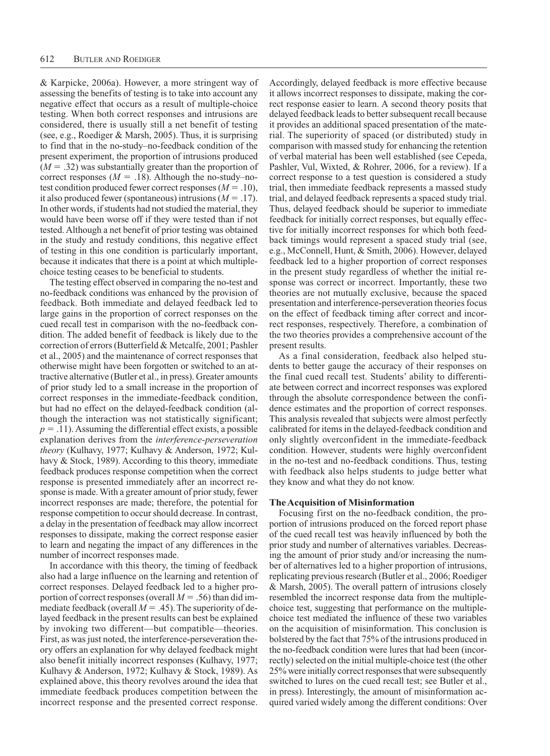& Karpicke, 2006a). However, a more stringent way of assessing the benefits of testing is to take into account any negative effect that occurs as a result of multiple-choice testing. When both correct responses and intrusions are considered, there is usually still a net benefit of testing (see, e.g., Roediger & Marsh, 2005). Thus, it is surprising to find that in the no-study–no-feedback condition of the present experiment, the proportion of intrusions produced  $(M = .32)$  was substantially greater than the proportion of correct responses ( $M = .18$ ). Although the no-study–notest condition produced fewer correct responses  $(M = .10)$ , it also produced fewer (spontaneous) intrusions  $(M = .17)$ . In other words, if students had not studied the material, they would have been worse off if they were tested than if not tested. Although a net benefit of prior testing was obtained in the study and restudy conditions, this negative effect of testing in this one condition is particularly important, because it indicates that there is a point at which multiplechoice testing ceases to be beneficial to students.

The testing effect observed in comparing the no-test and no-feedback conditions was enhanced by the provision of feedback. Both immediate and delayed feedback led to large gains in the proportion of correct responses on the cued recall test in comparison with the no-feedback condition. The added benefit of feedback is likely due to the correction of errors (Butterfield & Metcalfe, 2001; Pashler et al., 2005) and the maintenance of correct responses that otherwise might have been forgotten or switched to an attractive alternative (Butler et al., in press). Greater amounts of prior study led to a small increase in the proportion of correct responses in the immediate-feedback condition, but had no effect on the delayed-feedback condition (although the interaction was not statistically significant;  $p = .11$ ). Assuming the differential effect exists, a possible explanation derives from the *interference-perseveration theory* (Kulhavy, 1977; Kulhavy & Anderson, 1972; Kulhavy & Stock, 1989). According to this theory, immediate feedback produces response competition when the correct response is presented immediately after an incorrect response is made. With a greater amount of prior study, fewer incorrect responses are made; therefore, the potential for response competition to occur should decrease. In contrast, a delay in the presentation of feedback may allow incorrect responses to dissipate, making the correct response easier to learn and negating the impact of any differences in the number of incorrect responses made.

In accordance with this theory, the timing of feedback also had a large influence on the learning and retention of correct responses. Delayed feedback led to a higher proportion of correct responses (overall  $M = .56$ ) than did immediate feedback (overall  $M = .45$ ). The superiority of delayed feedback in the present results can best be explained by invoking two different—but compatible—theories. First, as was just noted, the interference-perseveration theory offers an explanation for why delayed feedback might also benefit initially incorrect responses (Kulhavy, 1977; Kulhavy & Anderson, 1972; Kulhavy & Stock, 1989). As explained above, this theory revolves around the idea that immediate feedback produces competition between the incorrect response and the presented correct response.

Accordingly, delayed feedback is more effective because it allows incorrect responses to dissipate, making the correct response easier to learn. A second theory posits that delayed feedback leads to better subsequent recall because it provides an additional spaced presentation of the material. The superiority of spaced (or distributed) study in comparison with massed study for enhancing the retention of verbal material has been well established (see Cepeda, Pashler, Vul, Wixted, & Rohrer, 2006, for a review). If a correct response to a test question is considered a study trial, then immediate feedback represents a massed study trial, and delayed feedback represents a spaced study trial. Thus, delayed feedback should be superior to immediate feedback for initially correct responses, but equally effective for initially incorrect responses for which both feedback timings would represent a spaced study trial (see, e.g., McConnell, Hunt, & Smith, 2006). However, delayed feedback led to a higher proportion of correct responses in the present study regardless of whether the initial response was correct or incorrect. Importantly, these two theories are not mutually exclusive, because the spaced presentation and interference-perseveration theories focus on the effect of feedback timing after correct and incorrect responses, respectively. Therefore, a combination of the two theories provides a comprehensive account of the present results.

As a final consideration, feedback also helped students to better gauge the accuracy of their responses on the final cued recall test. Students' ability to differentiate between correct and incorrect responses was explored through the absolute correspondence between the confidence estimates and the proportion of correct responses. This analysis revealed that subjects were almost perfectly calibrated for items in the delayed-feedback condition and only slightly overconfident in the immediate-feedback condition. However, students were highly overconfident in the no-test and no-feedback conditions. Thus, testing with feedback also helps students to judge better what they know and what they do not know.

# **The Acquisition of Misinformation**

Focusing first on the no-feedback condition, the proportion of intrusions produced on the forced report phase of the cued recall test was heavily influenced by both the prior study and number of alternatives variables. Decreasing the amount of prior study and/or increasing the number of alternatives led to a higher proportion of intrusions, replicating previous research (Butler et al., 2006; Roediger & Marsh, 2005). The overall pattern of intrusions closely resembled the incorrect response data from the multiplechoice test, suggesting that performance on the multiplechoice test mediated the influence of these two variables on the acquisition of misinformation. This conclusion is bolstered by the fact that 75% of the intrusions produced in the no-feedback condition were lures that had been (incorrectly) selected on the initial multiple-choice test (the other 25% were initially correct responses that were subsequently switched to lures on the cued recall test; see Butler et al., in press). Interestingly, the amount of misinformation acquired varied widely among the different conditions: Over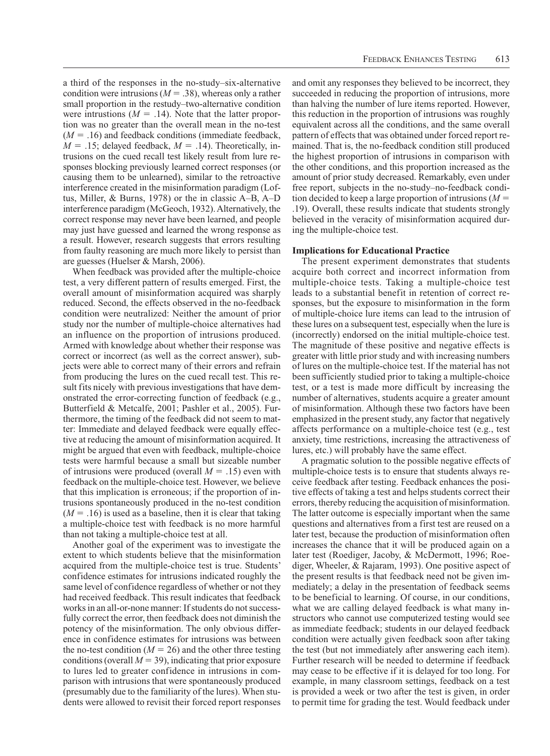a third of the responses in the no-study–six-alternative condition were intrusions ( $M = .38$ ), whereas only a rather small proportion in the restudy–two-alternative condition were intrustions  $(M = .14)$ . Note that the latter proportion was no greater than the overall mean in the no-test  $(M = .16)$  and feedback conditions (immediate feedback,  $M = .15$ ; delayed feedback,  $M = .14$ ). Theoretically, intrusions on the cued recall test likely result from lure responses blocking previously learned correct responses (or causing them to be unlearned), similar to the retroactive interference created in the misinformation paradigm (Loftus, Miller, & Burns, 1978) or the in classic A–B, A–D interference paradigm (McGeoch, 1932). Alternatively, the correct response may never have been learned, and people may just have guessed and learned the wrong response as a result. However, research suggests that errors resulting from faulty reasoning are much more likely to persist than are guesses (Huelser & Marsh, 2006).

When feedback was provided after the multiple-choice test, a very different pattern of results emerged. First, the overall amount of misinformation acquired was sharply reduced. Second, the effects observed in the no-feedback condition were neutralized: Neither the amount of prior study nor the number of multiple-choice alternatives had an influence on the proportion of intrusions produced. Armed with knowledge about whether their response was correct or incorrect (as well as the correct answer), subjects were able to correct many of their errors and refrain from producing the lures on the cued recall test. This result fits nicely with previous investigations that have demonstrated the error-correcting function of feedback (e.g., Butterfield & Metcalfe, 2001; Pashler et al., 2005). Furthermore, the timing of the feedback did not seem to matter: Immediate and delayed feedback were equally effective at reducing the amount of misinformation acquired. It might be argued that even with feedback, multiple-choice tests were harmful because a small but sizeable number of intrusions were produced (overall  $M = .15$ ) even with feedback on the multiple-choice test. However, we believe that this implication is erroneous; if the proportion of intrusions spontaneously produced in the no-test condition  $(M = .16)$  is used as a baseline, then it is clear that taking a multiple-choice test with feedback is no more harmful than not taking a multiple-choice test at all.

Another goal of the experiment was to investigate the extent to which students believe that the misinformation acquired from the multiple-choice test is true. Students' confidence estimates for intrusions indicated roughly the same level of confidence regardless of whether or not they had received feedback. This result indicates that feedback works in an all-or-none manner: If students do not successfully correct the error, then feedback does not diminish the potency of the misinformation. The only obvious difference in confidence estimates for intrusions was between the no-test condition ( $M = 26$ ) and the other three testing conditions (overall  $M = 39$ ), indicating that prior exposure to lures led to greater confidence in intrusions in comparison with intrusions that were spontaneously produced (presumably due to the familiarity of the lures). When students were allowed to revisit their forced report responses

and omit any responses they believed to be incorrect, they succeeded in reducing the proportion of intrusions, more than halving the number of lure items reported. However, this reduction in the proportion of intrusions was roughly equivalent across all the conditions, and the same overall pattern of effects that was obtained under forced report remained. That is, the no-feedback condition still produced the highest proportion of intrusions in comparison with the other conditions, and this proportion increased as the amount of prior study decreased. Remarkably, even under free report, subjects in the no-study–no-feedback condition decided to keep a large proportion of intrusions  $(M =$ .19). Overall, these results indicate that students strongly believed in the veracity of misinformation acquired during the multiple-choice test.

#### **Implications for Educational Practice**

The present experiment demonstrates that students acquire both correct and incorrect information from multiple-choice tests. Taking a multiple-choice test leads to a substantial benefit in retention of correct responses, but the exposure to misinformation in the form of multiple-choice lure items can lead to the intrusion of these lures on a subsequent test, especially when the lure is (incorrectly) endorsed on the initial multiple-choice test. The magnitude of these positive and negative effects is greater with little prior study and with increasing numbers of lures on the multiple-choice test. If the material has not been sufficiently studied prior to taking a multiple-choice test, or a test is made more difficult by increasing the number of alternatives, students acquire a greater amount of misinformation. Although these two factors have been emphasized in the present study, any factor that negatively affects performance on a multiple-choice test (e.g., test anxiety, time restrictions, increasing the attractiveness of lures, etc.) will probably have the same effect.

A pragmatic solution to the possible negative effects of multiple-choice tests is to ensure that students always receive feedback after testing. Feedback enhances the positive effects of taking a test and helps students correct their errors, thereby reducing the acquisition of misinformation. The latter outcome is especially important when the same questions and alternatives from a first test are reused on a later test, because the production of misinformation often increases the chance that it will be produced again on a later test (Roediger, Jacoby, & McDermott, 1996; Roediger, Wheeler, & Rajaram, 1993). One positive aspect of the present results is that feedback need not be given immediately; a delay in the presentation of feedback seems to be beneficial to learning. Of course, in our conditions, what we are calling delayed feedback is what many instructors who cannot use computerized testing would see as immediate feedback; students in our delayed feedback condition were actually given feedback soon after taking the test (but not immediately after answering each item). Further research will be needed to determine if feedback may cease to be effective if it is delayed for too long. For example, in many classroom settings, feedback on a test is provided a week or two after the test is given, in order to permit time for grading the test. Would feedback under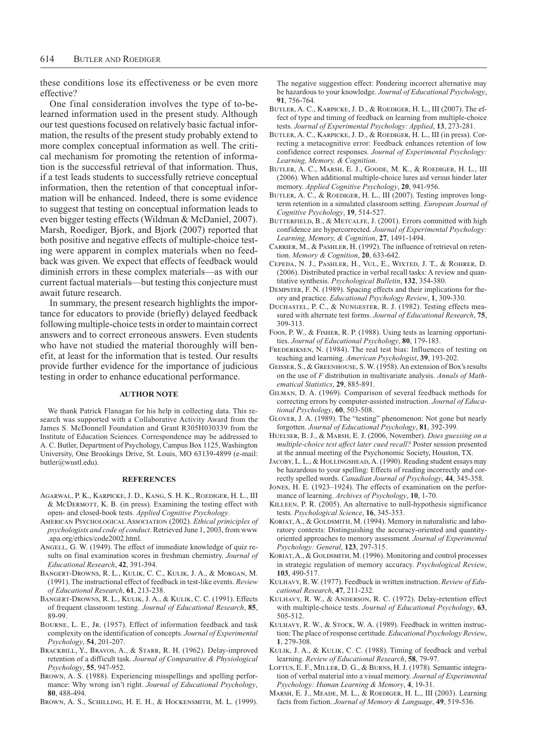these conditions lose its effectiveness or be even more effective?

One final consideration involves the type of to-belearned information used in the present study. Although our test questions focused on relatively basic factual information, the results of the present study probably extend to more complex conceptual information as well. The critical mechanism for promoting the retention of information is the successful retrieval of that information. Thus, if a test leads students to successfully retrieve conceptual information, then the retention of that conceptual information will be enhanced. Indeed, there is some evidence to suggest that testing on conceptual information leads to even bigger testing effects (Wildman & McDaniel, 2007). Marsh, Roediger, Bjork, and Bjork (2007) reported that both positive and negative effects of multiple-choice testing were apparent in complex materials when no feedback was given. We expect that effects of feedback would diminish errors in these complex materials—as with our current factual materials—but testing this conjecture must await future research.

In summary, the present research highlights the importance for educators to provide (briefly) delayed feedback following multiple-choice tests in order to maintain correct answers and to correct erroneous answers. Even students who have not studied the material thoroughly will benefit, at least for the information that is tested. Our results provide further evidence for the importance of judicious testing in order to enhance educational performance.

#### **Author Note**

We thank Patrick Flanagan for his help in collecting data. This research was supported with a Collaborative Activity Award from the James S. McDonnell Foundation and Grant R305H030339 from the Institute of Education Sciences. Correspondence may be addressed to A. C. Butler, Department of Psychology, Campus Box 1125, Washington University, One Brookings Drive, St. Louis, MO 63139-4899 (e-mail: butler@wustl.edu).

#### **References**

- Agarwal, P. K., Karpicke, J. D., Kang, S. H. K., Roediger, H. L., III & McDermott, K. B. (in press). Examining the testing effect with open- and closed-book tests. *Applied Cognitive Psychology*.
- American Psychological Association (2002). *Ethical priniciples of psychologists and code of conduct*. Retrieved June 1, 2003, from www .apa.org/ethics/code2002.html.
- ANGELL, G. W. (1949). The effect of immediate knowledge of quiz results on final examination scores in freshman chemistry. *Journal of Educational Research*, **42**, 391-394.
- Bangert-Drowns, R. L., Kulik, C. C., Kulik, J. A., & Morgan, M. (1991). The instructional effect of feedback in test-like events. *Review of Educational Research*, **61**, 213-238.
- BANGERT-DROWNS, R. L., KULIK, J. A., & KULIK, C. C. (1991). Effects of frequent classroom testing. *Journal of Educational Research*, **85**, 89-99.
- Bourne, L. E., Jr. (1957). Effect of information feedback and task complexity on the identification of concepts. *Journal of Experimental Psychology*, **54**, 201-207.
- Brackbill, Y., Bravos, A., & Starr, R. H. (1962). Delay-improved retention of a difficult task. *Journal of Comparative & Physiological Psychology*, **55**, 947-952.
- Brown, A. S. (1988). Experiencing misspellings and spelling performance: Why wrong isn't right. *Journal of Educational Psychology*, **80**, 488-494.
- Brown, A. S., Schilling, H. E. H., & Hockensmith, M. L. (1999).

The negative suggestion effect: Pondering incorrect alternative may be hazardous to your knowledge. *Journal of Educational Psychology*, **91**, 756-764.

- Butler, A. C., Karpicke, J. D., & Roediger, H. L., III (2007). The effect of type and timing of feedback on learning from multiple-choice tests. *Journal of Experimental Psychology: Applied*, **13**, 273-281.
- Butler, A. C., Karpicke, J. D., & Roediger, H. L., III (in press). Correcting a metacognitive error: Feedback enhances retention of low confidence correct responses. *Journal of Experimental Psychology: Learning, Memory, & Cognition*.
- Butler, A. C., Marsh, E. J., Goode, M. K., & Roediger, H. L., III (2006). When additional multiple-choice lures aid versus hinder later memory. *Applied Cognitive Psychology*, **20**, 941-956.
- BUTLER, A. C., & ROEDIGER, H. L., III (2007). Testing improves longterm retention in a simulated classroom setting. *European Journal of Cognitive Psychology*, **19**, 514-527.
- BUTTERFIELD, B., & METCALFE, J. (2001). Errors committed with high confidence are hypercorrected. *Journal of Experimental Psychology: Learning, Memory, & Cognition*, **27**, 1491-1494.
- CARRIER, M., & PASHLER, H. (1992). The influence of retrieval on retention. *Memory & Cognition*, **20**, 633-642.
- Cepeda, N. J., Pashler, H., Vul, E., Wixted, J. T., & Rohrer, D. (2006). Distributed practice in verbal recall tasks: A review and quantitative synthesis. *Psychological Bulletin*, **132**, 354-380.
- Dempster, F. N. (1989). Spacing effects and their implications for theory and practice. *Educational Psychology Review*, **1**, 309-330.
- Duchastel, P. C., & Nungester, R. J. (1982). Testing effects measured with alternate test forms. *Journal of Educational Research*, **75**, 309-313.
- Foos, P. W., & Fisher, R. P. (1988). Using tests as learning opportunities. *Journal of Educational Psychology*, **80**, 179-183.
- FREDERIKSEN, N. (1984). The real test bias: Influences of testing on teaching and learning. *American Psychologist*, **39**, 193-202.
- Geisser, S., & Greenhouse, S. W. (1958). An extension of Box's results on the use of *F* distribution in multivariate analysis. *Annals of Mathematical Statistics*, **29**, 885-891.
- Gilman, D. A. (1969). Comparison of several feedback methods for correcting errors by computer-assisted instruction. *Journal of Educational Psychology*, **60**, 503-508.
- Glover, J. A. (1989). The "testing" phenomenon: Not gone but nearly forgotten. *Journal of Educational Psychology*, **81**, 392-399.
- Huelser, B. J., & Marsh, E. J. (2006, November). *Does guessing on a multiple-choice test affect later cued recall?* Poster session presented at the annual meeting of the Psychonomic Society, Houston, TX.
- JACOBY, L. L., & HOLLINGSHEAD, A. (1990). Reading student essays may be hazardous to your spelling: Effects of reading incorrectly and correctly spelled words. *Canadian Journal of Psychology*, **44**, 345-358.
- Jones, H. E. (1923–1924). The effects of examination on the performance of learning. *Archives of Psychology*, **10**, 1-70.
- Killeen, P. R. (2005). An alternative to null-hypothesis significance tests. *Psychological Science*, **16**, 345-353.
- KORIAT, A., & GOLDSMITH, M. (1994). Memory in naturalistic and laboratory contexts: Distinguishing the accuracy-oriented and quantityoriented approaches to memory assessment. *Journal of Experimental Psychology: General*, **123**, 297-315.
- KORIAT, A., & GOLDSMITH, M. (1996). Monitoring and control processes in strategic regulation of memory accuracy. *Psychological Review*, **103**, 490-517.
- Kulhavy, R. W. (1977). Feedback in written instruction. *Review of Educational Research*, **47**, 211-232.
- Kulhavy, R. W., & Anderson, R. C. (1972). Delay-retention effect with multiple-choice tests. *Journal of Educational Psychology*, **63**, 505-512.
- KULHAVY, R. W., & STOCK, W. A. (1989). Feedback in written instruction: The place of response certitude. *Educational Psychology Review*, **1**, 279-308.
- KULIK, J. A., & KULIK, C. C. (1988). Timing of feedback and verbal learning. *Review of Educational Research*, **58**, 79-97.
- LOFTUS, E. F., MILLER, D. G., & BURNS, H. J. (1978). Semantic integration of verbal material into a visual memory. *Journal of Experimental Psychology: Human Learning & Memory*, **4**, 19-31.
- Marsh, E. J., Meade, M. L., & Roediger, H. L., III (2003). Learning facts from fiction. *Journal of Memory & Language*, **49**, 519-536.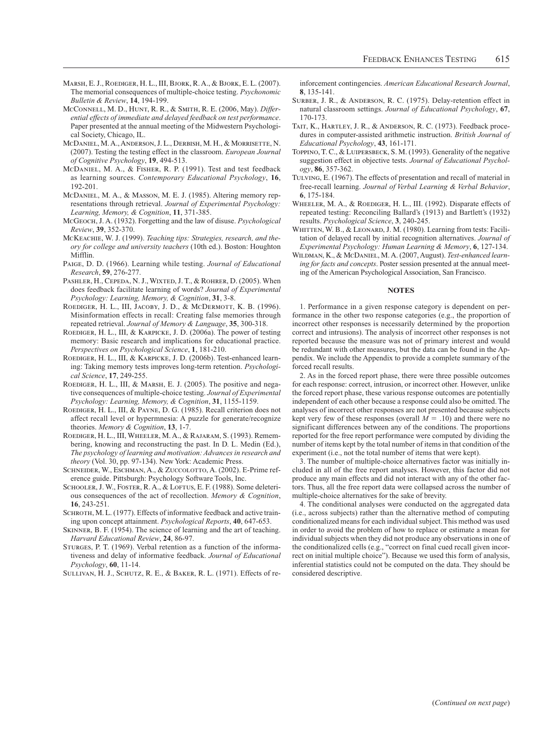- Marsh, E. J., Roediger, H. L., III, Bjork, R. A., & Bjork, E. L. (2007). The memorial consequences of multiple-choice testing. *Psychonomic Bulletin & Review*, **14**, 194-199.
- McConnell, M. D., Hunt, R. R., & Smith, R. E. (2006, May). *Differential effects of immediate and delayed feedback on test performance*. Paper presented at the annual meeting of the Midwestern Psychological Society, Chicago, IL.
- McDaniel, M. A., Anderson, J. L., Derbish, M. H., & Morrisette, N. (2007). Testing the testing effect in the classroom. *European Journal of Cognitive Psychology*, **19**, 494-513.
- McDaniel, M. A., & Fisher, R. P. (1991). Test and test feedback as learning sources. *Contemporary Educational Psychology*, **16**, 192-201.
- McDaniel, M. A., & Masson, M. E. J. (1985). Altering memory representations through retrieval. *Journal of Experimental Psychology: Learning, Memory, & Cognition*, **11**, 371-385.
- McGeoch, J. A. (1932). Forgetting and the law of disuse. *Psychological Review*, **39**, 352-370.
- McKeachie, W. J. (1999). *Teaching tips: Strategies, research, and theory for college and university teachers* (10th ed.). Boston: Houghton Mifflin.
- Paige, D. D. (1966). Learning while testing. *Journal of Educational Research*, **59**, 276-277.
- PASHLER, H., CEPEDA, N. J., WIXTED, J. T., & ROHRER, D. (2005). When does feedback facilitate learning of words? *Journal of Experimental Psychology: Learning, Memory, & Cognition*, **31**, 3-8.
- Roediger, H. L., III, Jacoby, J. D., & McDermott, K. B. (1996). Misinformation effects in recall: Creating false memories through repeated retrieval. *Journal of Memory & Language*, **35**, 300-318.
- ROEDIGER, H. L., III, & KARPICKE, J. D. (2006a). The power of testing memory: Basic research and implications for educational practice. *Perspectives on Psychological Science*, **1**, 181-210.
- ROEDIGER, H. L., III, & KARPICKE, J. D. (2006b). Test-enhanced learning: Taking memory tests improves long-term retention. *Psychological Science*, **17**, 249-255.
- ROEDIGER, H. L., III, & MARSH, E. J. (2005). The positive and negative consequences of multiple-choice testing. *Journal of Experimental Psychology: Learning, Memory, & Cognition*, **31**, 1155-1159.
- ROEDIGER, H. L., III, & PAYNE, D. G. (1985). Recall criterion does not affect recall level or hypermnesia: A puzzle for generate/recognize theories. *Memory & Cognition*, **13**, 1-7.
- Roediger, H. L., III, Wheeler, M. A., & Rajaram, S. (1993). Remembering, knowing and reconstructing the past. In D. L. Medin (Ed.), *The psychology of learning and motivation: Advances in research and theory* (Vol. 30, pp. 97-134). New York: Academic Press.
- Schneider, W., Eschman, A., & Zuccolotto, A. (2002). E-Prime reference guide. Pittsburgh: Psychology Software Tools, Inc.
- SCHOOLER, J. W., FOSTER, R. A., & LOFTUS, E. F. (1988). Some deleterious consequences of the act of recollection. *Memory & Cognition*, **16**, 243-251.
- SCHROTH, M. L. (1977). Effects of informative feedback and active training upon concept attainment. *Psychological Reports*, **40**, 647-653.
- Skinner, B. F. (1954). The science of learning and the art of teaching. *Harvard Educational Review*, **24**, 86-97.
- STURGES, P. T. (1969). Verbal retention as a function of the informativeness and delay of informative feedback. *Journal of Educational Psychology*, **60**, 11-14.
- Sullivan, H. J., Schutz, R. E., & Baker, R. L. (1971). Effects of re-

inforcement contingencies. *American Educational Research Journal*, **8**, 135-141.

- Surber, J. R., & Anderson, R. C. (1975). Delay-retention effect in natural classroom settings. *Journal of Educational Psychology*, **67**, 170-173.
- TAIT, K., HARTLEY, J. R., & ANDERSON, R. C. (1973). Feedback procedures in computer-assisted arithmetic instruction. *British Journal of Educational Psychology*, **43**, 161-171.
- Toppino, T. C., & Luipersbeck, S. M. (1993). Generality of the negative suggestion effect in objective tests. *Journal of Educational Psychology*, **86**, 357-362.
- Tulving, E. (1967). The effects of presentation and recall of material in free-recall learning. *Journal of Verbal Learning & Verbal Behavior*, **6**, 175-184.
- Wheeler, M. A., & Roediger, H. L., III. (1992). Disparate effects of repeated testing: Reconciling Ballard's (1913) and Bartlett's (1932) results. *Psychological Science*, **3**, 240-245.
- WHITTEN, W. B., & LEONARD, J. M. (1980). Learning from tests: Facilitation of delayed recall by initial recognition alternatives. *Journal of Experimental Psychology: Human Learning & Memory*, **6**, 127-134.
- Wildman, K., & McDaniel, M. A. (2007, August). *Test-enhanced learning for facts and concepts*. Poster session presented at the annual meeting of the American Psychological Association, San Francisco.

#### **Notes**

1. Performance in a given response category is dependent on performance in the other two response categories (e.g., the proportion of incorrect other responses is necessarily determined by the proportion correct and intrusions). The analysis of incorrect other responses is not reported because the measure was not of primary interest and would be redundant with other measures, but the data can be found in the Appendix. We include the Appendix to provide a complete summary of the forced recall results.

2. As in the forced report phase, there were three possible outcomes for each response: correct, intrusion, or incorrect other. However, unlike the forced report phase, these various response outcomes are potentially independent of each other because a response could also be omitted. The analyses of incorrect other responses are not presented because subjects kept very few of these responses (overall  $M = .10$ ) and there were no significant differences between any of the conditions. The proportions reported for the free report performance were computed by dividing the number of items kept by the total number of items in that condition of the experiment (i.e., not the total number of items that were kept).

3. The number of multiple-choice alternatives factor was initially included in all of the free report analyses. However, this factor did not produce any main effects and did not interact with any of the other factors. Thus, all the free report data were collapsed across the number of multiple-choice alternatives for the sake of brevity.

4. The conditional analyses were conducted on the aggregated data (i.e., across subjects) rather than the alternative method of computing conditionalized means for each individual subject. This method was used in order to avoid the problem of how to replace or estimate a mean for individual subjects when they did not produce any observations in one of the conditionalized cells (e.g., "correct on final cued recall given incorrect on initial multiple choice"). Because we used this form of analysis, inferential statistics could not be computed on the data. They should be considered descriptive.